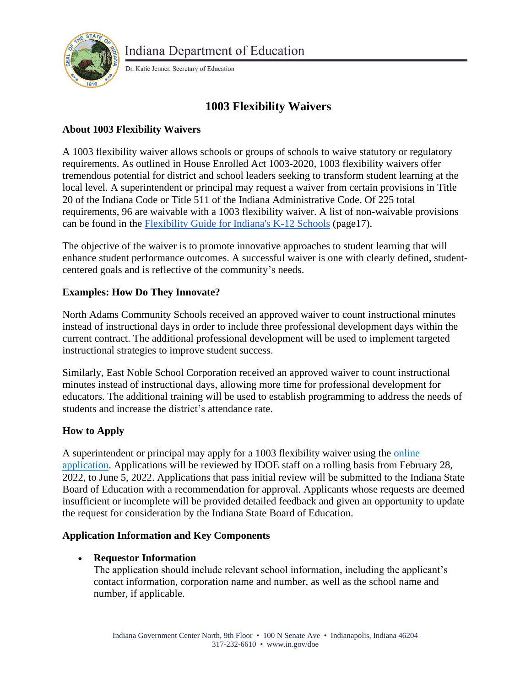

Dr. Katie Jenner, Secretary of Education

# **1003 Flexibility Waivers**

### **About 1003 Flexibility Waivers**

A 1003 flexibility waiver allows schools or groups of schools to waive statutory or regulatory requirements. As outlined in House Enrolled Act 1003-2020, 1003 flexibility waivers offer tremendous potential for district and school leaders seeking to transform student learning at the local level. A superintendent or principal may request a waiver from certain provisions in Title 20 of the Indiana Code or Title 511 of the Indiana Administrative Code. Of 225 total requirements, 96 are waivable with a 1003 flexibility waiver. A list of non-waivable provisions can be found in the [Flexibility Guide for Indiana's K-12 Schools](https://www.in.gov/sboe/files/IN-Flex-Guide-12182020.pdf) (page17).

The objective of the waiver is to promote innovative approaches to student learning that will enhance student performance outcomes. A successful waiver is one with clearly defined, studentcentered goals and is reflective of the community's needs.

### **Examples: How Do They Innovate?**

North Adams Community Schools received an approved waiver to count instructional minutes instead of instructional days in order to include three professional development days within the current contract. The additional professional development will be used to implement targeted instructional strategies to improve student success.

Similarly, East Noble School Corporation received an approved waiver to count instructional minutes instead of instructional days, allowing more time for professional development for educators. The additional training will be used to establish programming to address the needs of students and increase the district's attendance rate.

## **How to Apply**

A superintendent or principal may apply for a 1003 flexibility waiver using the [online](https://form.jotform.com/220455664156962)  [application.](https://form.jotform.com/220455664156962) Applications will be reviewed by IDOE staff on a rolling basis from February 28, 2022, to June 5, 2022. Applications that pass initial review will be submitted to the Indiana State Board of Education with a recommendation for approval. Applicants whose requests are deemed insufficient or incomplete will be provided detailed feedback and given an opportunity to update the request for consideration by the Indiana State Board of Education.

### **Application Information and Key Components**

### • **Requestor Information**

The application should include relevant school information, including the applicant's contact information, corporation name and number, as well as the school name and number, if applicable.